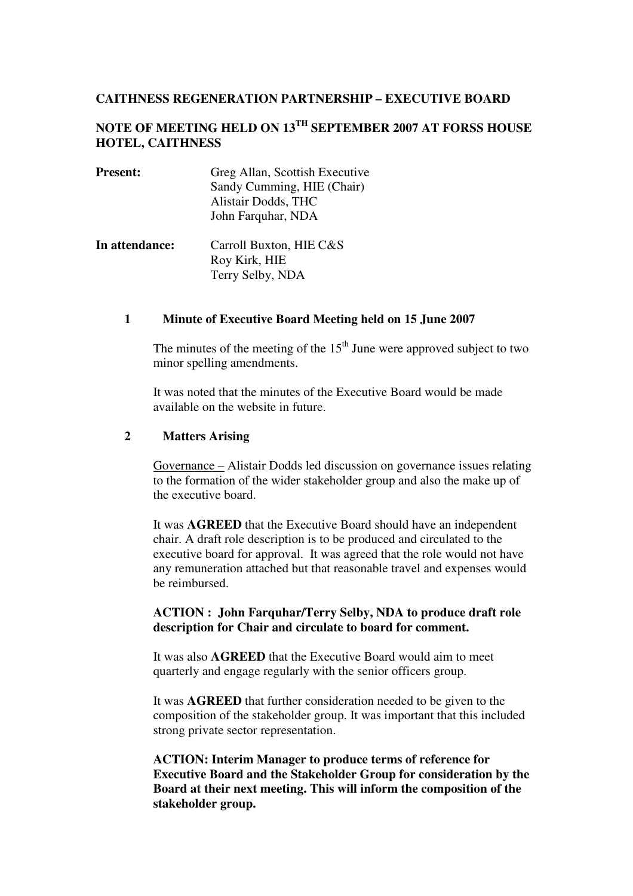# **CAITHNESS REGENERATION PARTNERSHIP – EXECUTIVE BOARD**

# **NOTE OF MEETING HELD ON 13TH SEPTEMBER 2007 AT FORSS HOUSE HOTEL, CAITHNESS**

| <b>Present:</b> | Greg Allan, Scottish Executive<br>Sandy Cumming, HIE (Chair)<br>Alistair Dodds, THC<br>John Farquhar, NDA |
|-----------------|-----------------------------------------------------------------------------------------------------------|
| In attendance:  | Carroll Buxton, HIE C&S<br>Roy Kirk, HIE<br>Terry Selby, NDA                                              |

#### **1 Minute of Executive Board Meeting held on 15 June 2007**

The minutes of the meeting of the  $15<sup>th</sup>$  June were approved subject to two minor spelling amendments.

It was noted that the minutes of the Executive Board would be made available on the website in future.

#### **2 Matters Arising**

Governance – Alistair Dodds led discussion on governance issues relating to the formation of the wider stakeholder group and also the make up of the executive board.

It was **AGREED** that the Executive Board should have an independent chair. A draft role description is to be produced and circulated to the executive board for approval. It was agreed that the role would not have any remuneration attached but that reasonable travel and expenses would be reimbursed.

# **ACTION : John Farquhar/Terry Selby, NDA to produce draft role description for Chair and circulate to board for comment.**

It was also **AGREED** that the Executive Board would aim to meet quarterly and engage regularly with the senior officers group.

It was **AGREED** that further consideration needed to be given to the composition of the stakeholder group. It was important that this included strong private sector representation.

**ACTION: Interim Manager to produce terms of reference for Executive Board and the Stakeholder Group for consideration by the Board at their next meeting. This will inform the composition of the stakeholder group.**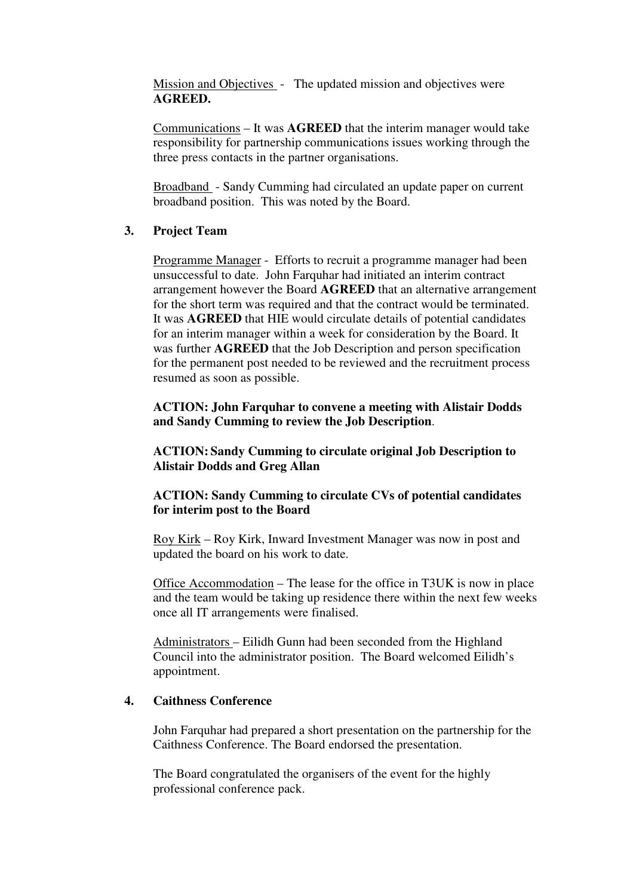Mission and Objectives - The updated mission and objectives were **AGREED.** 

Communications – It was **AGREED** that the interim manager would take responsibility for partnership communications issues working through the three press contacts in the partner organisations.

Broadband - Sandy Cumming had circulated an update paper on current broadband position. This was noted by the Board.

# **3. Project Team**

Programme Manager - Efforts to recruit a programme manager had been unsuccessful to date. John Farquhar had initiated an interim contract arrangement however the Board **AGREED** that an alternative arrangement for the short term was required and that the contract would be terminated. It was **AGREED** that HIE would circulate details of potential candidates for an interim manager within a week for consideration by the Board. It was further **AGREED** that the Job Description and person specification for the permanent post needed to be reviewed and the recruitment process resumed as soon as possible.

# **ACTION: John Farquhar to convene a meeting with Alistair Dodds and Sandy Cumming to review the Job Description**.

# **ACTION: Sandy Cumming to circulate original Job Description to Alistair Dodds and Greg Allan**

# **ACTION: Sandy Cumming to circulate CVs of potential candidates for interim post to the Board**

Roy Kirk – Roy Kirk, Inward Investment Manager was now in post and updated the board on his work to date.

Office Accommodation – The lease for the office in T3UK is now in place and the team would be taking up residence there within the next few weeks once all IT arrangements were finalised.

Administrators – Eilidh Gunn had been seconded from the Highland Council into the administrator position. The Board welcomed Eilidh's appointment.

### **4. Caithness Conference**

John Farquhar had prepared a short presentation on the partnership for the Caithness Conference. The Board endorsed the presentation.

The Board congratulated the organisers of the event for the highly professional conference pack.